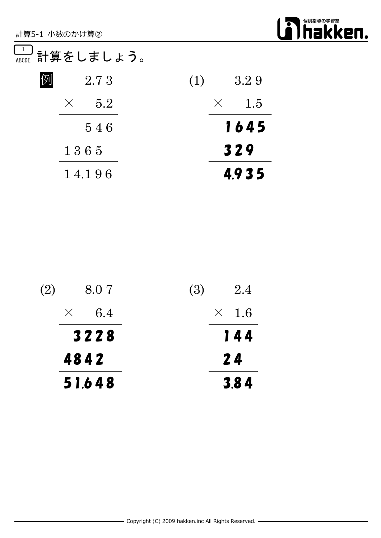

### $\frac{1}{\text{\tiny{ALCOE}}}$  計算をしましょう。

| 例<br>2.73       | 3.29<br>(1)  |
|-----------------|--------------|
| 5.2<br>$\times$ | $\times$ 1.5 |
| 546             | 1645         |
| 1365            | 329          |
| 14.196          | 4.935        |

| (2)<br>8.07     | <b>(3)</b><br>2.4 |
|-----------------|-------------------|
| 6.4<br>$\times$ | $\times$ 1.6      |
| 3228            | 144               |
| 4842            | 24                |
| 51.648          | 3.84              |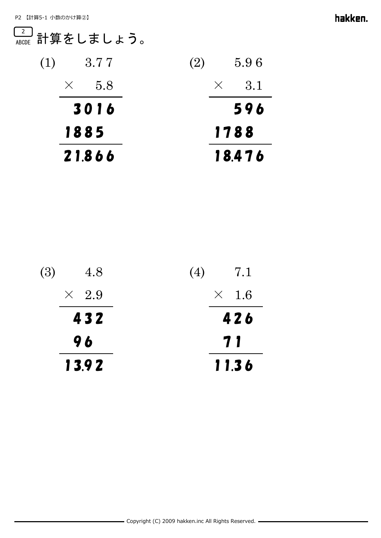#### <del> $\frac{2}{\text{\tiny{ALCOE}}}\ \text{\small{{$\rm \overset{\tiny{1}}{\overline{\phantom{\rule{1pt}{5.5pt}}}\limits}}}\ \frac{2}{\text{inf}}\ \text{\small{$\overset{\tiny{2}}{\overline{\phantom{\rule{1pt}{5.5pt}}}\limits}}}\ \text{\small{{$\mathrm{M}\acute{E}}\mathrm{}}\ \text{\small{{$\mathrm{M}\acute{E}}\mathrm{}}\mathrm{}}\mathrm{ }}\ \text{\small{{$\mathrm{M}\acute{E}}\mathrm{}}\mathrm{}}\mathrm{ }}\ \text{\small{{$\mathrm{M}\acute{E}}\mathrm{}}\mathrm{ }}\mathrm{ }}\ \text{\small{{$\mathrm{M}\acute{E}}\mathrm$

| (1)<br>3.77      | 5.96<br>(2)  |  |
|------------------|--------------|--|
| -5.8<br>$\times$ | $\times$ 3.1 |  |
| 3016             | 596          |  |
| 1885             | 1788         |  |
| 21.866           | 18.476       |  |

| 13.92        | 11.36        |
|--------------|--------------|
| 96           | 71           |
| 432          | 426          |
| $\times$ 2.9 | $\times$ 1.6 |
| (3)<br>4.8   | 7.1<br>(4)   |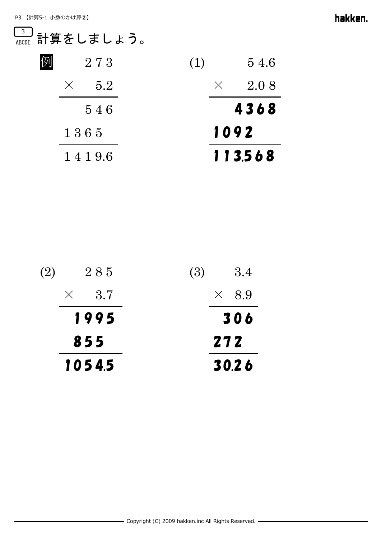#### <del> $\frac{3}{\text{\tiny ABCDE}}$ </del>計算をしましょう。

| 54.6<br>(1)      |
|------------------|
| 2.08<br>$\times$ |
| 4368             |
| 1092             |
| 113568           |
|                  |

| (2)<br>285      | <b>(3)</b><br>3.4 |
|-----------------|-------------------|
| 3.7<br>$\times$ | $\times$ 8.9      |
| 1995            | 306               |
| 855             | 272               |
| 10545           | 30.26             |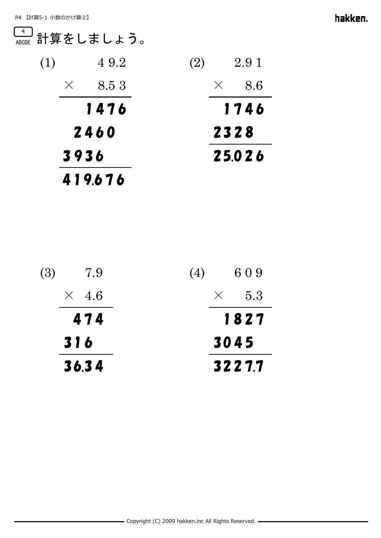#### <del>"</del>』計算をしましょう。

| (1) | 49.2              | 2.91<br><b>(2)</b> |
|-----|-------------------|--------------------|
|     | 8.5 3<br>$\times$ | 8.6<br>$\times$    |
|     | 1476              | 1746               |
|     | 2460              | 2328               |
|     | 3936              | 25.026             |
|     | 419.676           |                    |

| <b>(3)</b><br>7.9 | 609<br>(4)   |  |
|-------------------|--------------|--|
| $\times$ 4.6      | $\times$ 5.3 |  |
| 474               | 1827         |  |
| 316               | 3045         |  |
| 36.34             | 3227.7       |  |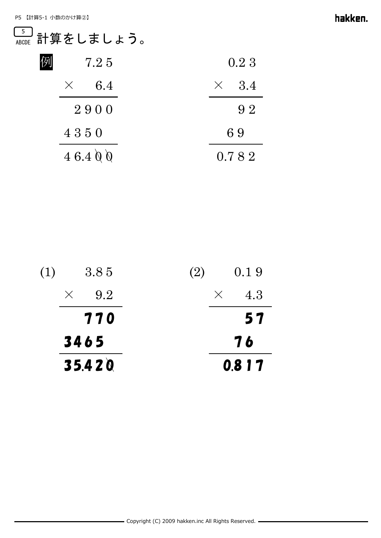### <del>』</del><br><sub>ABCDE</sub> 計算をしましょう。

| 例 | 7.25            | 0.2 3        |
|---|-----------------|--------------|
|   | 6.4<br>$\times$ | $\times$ 3.4 |
|   | 2900            | 92           |
|   | 4350            | 69           |
|   | 46.400          | 0.782        |

| 35.420          | 0.817              |
|-----------------|--------------------|
| 3465            | 76                 |
| 770             | 57                 |
| 9.2<br>$\times$ | 4.3<br>$\times$    |
| (1)<br>3.85     | 0.19<br><b>(2)</b> |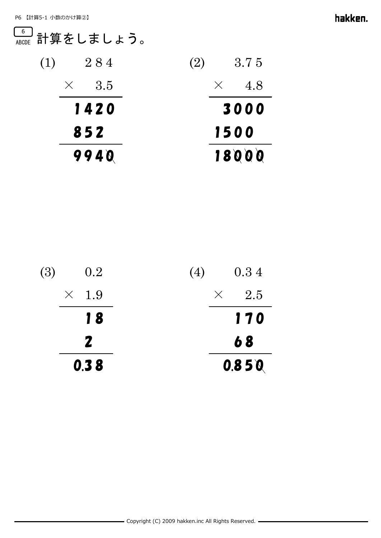# <del>。</del><br><sub>ABCDE</sub> 計算をしましょう。

| (1)<br>284        | 3.75<br><b>(2)</b> |  |
|-------------------|--------------------|--|
| - 3.5<br>$\times$ | 4.8<br>$\times$    |  |
| 1420              | 3000               |  |
| 852               | 1500               |  |
| 9940              | 18000              |  |

| 0.38         | 0.850        |
|--------------|--------------|
| $\mathbf{Z}$ | 68           |
| 18           | 170          |
| $\times$ 1.9 | $\times$ 2.5 |
| (3)<br>0.2   | 0.34<br>(4)  |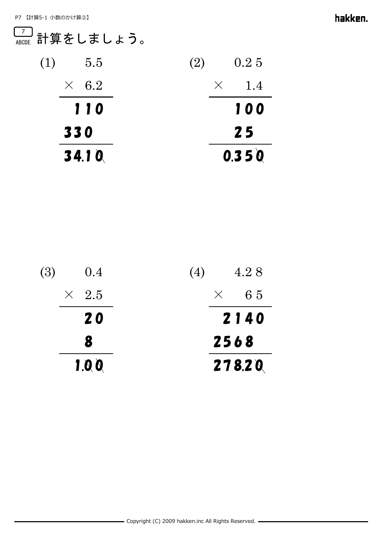## <del> $\frac{7}{\text{\tiny{ALCOE}}}\ \text{\small{{$\rm \overset{\_}{=}\,$}}$\text{\small{{$\rm H$}}} \text{\small{{$\rm \overset{\_}{=}\,$}}$\text{\small{{$\rm \overset{\_}{=}\,$}}$}}\text{\small{{$\rm \overset{\_}{=}\,$}}$\text{\small{{$\rm \overset{\_}{=}\,$}}$}}\text{\small{{$\rm \overset{\_}{=}\,$}}$\text{\small{{$\rm \overset{\_}{=}\,$}}$}}$\text{\small{{$\rm \overset{\_}{=}\,$}}$}}\text{\small{{$\rm \overset{\_}{=}\,$}}$\text{\small{{$\rm \overset{\_$

| 34.10        | 0.350              |
|--------------|--------------------|
| 330          | 25                 |
| 110          | 100                |
| $\times$ 6.2 | 1.4<br>$\chi$      |
| (1)<br>5.5   | 0.25<br><b>(2)</b> |

| 1.00         | 278.20      |
|--------------|-------------|
| 8            | 2568        |
| <b>20</b>    | 2140        |
| $\times$ 2.5 | $\times$ 65 |
| (3)<br>0.4   | 4.28<br>(4) |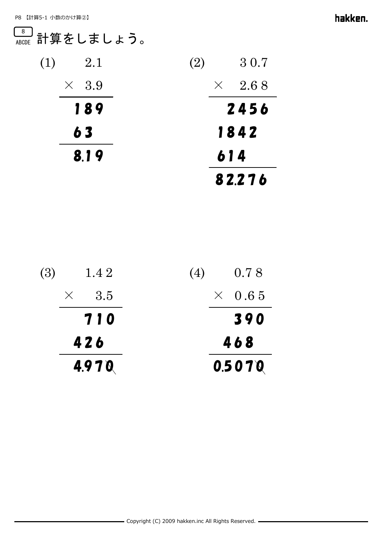# <u>。。</u><br><sub>ABCDE</sub> 計算をしましょう。

| (1)  | 2.1          | (2) |          | 30.7   |
|------|--------------|-----|----------|--------|
|      | $\times$ 3.9 |     | $\times$ | 2.68   |
|      | 189          |     |          | 2456   |
|      | 63           |     |          | 1842   |
| 8.19 |              | 614 |          |        |
|      |              |     |          | 82.276 |

| 4.970        | 0.5070        |  |
|--------------|---------------|--|
| 426          | 468           |  |
| 710          | 390           |  |
| $\times$ 3.5 | $\times$ 0.65 |  |
| (3)<br>1.4 2 | 0.78<br>(4)   |  |